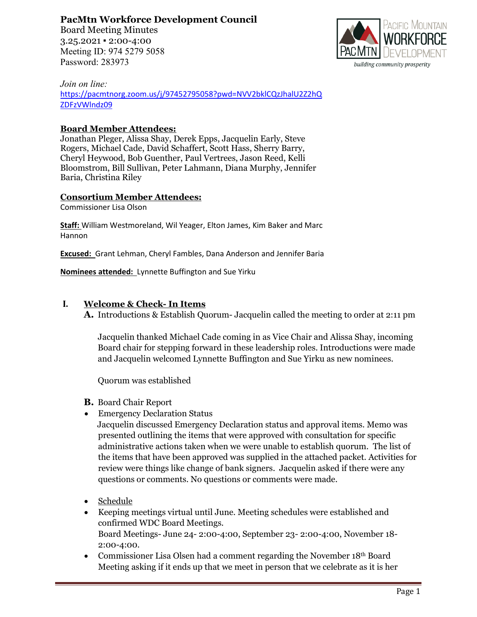**PacMtn Workforce Development Council**

Board Meeting Minutes 3.25.2021 ▪ 2:00-4:00 Meeting ID: 974 5279 5058 Password: 283973



*Join on line:*

[https://pacmtnorg.zoom.us/j/97452795058?pwd=NVV2bklCQzJhalU2Z2hQ](https://pacmtnorg.zoom.us/j/97452795058?pwd=NVV2bklCQzJhalU2Z2hQZDFzVWlndz09) [ZDFzVWlndz09](https://pacmtnorg.zoom.us/j/97452795058?pwd=NVV2bklCQzJhalU2Z2hQZDFzVWlndz09)

### **Board Member Attendees:**

Jonathan Pleger, Alissa Shay, Derek Epps, Jacquelin Early, Steve Rogers, Michael Cade, David Schaffert, Scott Hass, Sherry Barry, Cheryl Heywood, Bob Guenther, Paul Vertrees, Jason Reed, Kelli Bloomstrom, Bill Sullivan, Peter Lahmann, Diana Murphy, Jennifer Baria, Christina Riley

#### **Consortium Member Attendees:**

Commissioner Lisa Olson

**Staff:** William Westmoreland, Wil Yeager, Elton James, Kim Baker and Marc Hannon

**Excused:** Grant Lehman, Cheryl Fambles, Dana Anderson and Jennifer Baria

**Nominees attended:** Lynnette Buffington and Sue Yirku

#### **I. Welcome & Check- In Items**

**A.** Introductions & Establish Quorum- Jacquelin called the meeting to order at 2:11 pm

Jacquelin thanked Michael Cade coming in as Vice Chair and Alissa Shay, incoming Board chair for stepping forward in these leadership roles. Introductions were made and Jacquelin welcomed Lynnette Buffington and Sue Yirku as new nominees.

Quorum was established

- **B.** Board Chair Report
- Emergency Declaration Status

 Jacquelin discussed Emergency Declaration status and approval items. Memo was presented outlining the items that were approved with consultation for specific administrative actions taken when we were unable to establish quorum. The list of the items that have been approved was supplied in the attached packet. Activities for review were things like change of bank signers. Jacquelin asked if there were any questions or comments. No questions or comments were made.

- Schedule
- Keeping meetings virtual until June. Meeting schedules were established and confirmed WDC Board Meetings. Board Meetings- June 24- 2:00-4:00, September 23- 2:00-4:00, November 18- 2:00-4:00.
- Commissioner Lisa Olsen had a comment regarding the November 18<sup>th</sup> Board Meeting asking if it ends up that we meet in person that we celebrate as it is her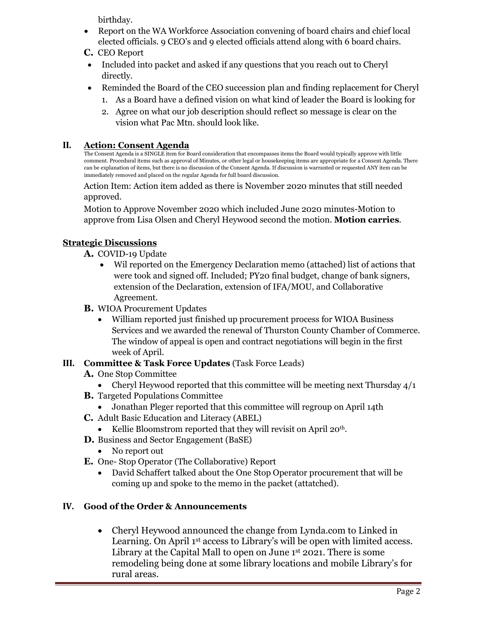birthday.

- Report on the WA Workforce Association convening of board chairs and chief local elected officials. 9 CEO's and 9 elected officials attend along with 6 board chairs.
- **C.** CEO Report
- Included into packet and asked if any questions that you reach out to Cheryl directly.
- Reminded the Board of the CEO succession plan and finding replacement for Cheryl
	- 1. As a Board have a defined vision on what kind of leader the Board is looking for
	- 2. Agree on what our job description should reflect so message is clear on the vision what Pac Mtn. should look like.

# **II. Action: Consent Agenda**

The Consent Agenda is a SINGLE item for Board consideration that encompasses items the Board would typically approve with little comment. Procedural items such as approval of Minutes, or other legal or housekeeping items are appropriate for a Consent Agenda. There can be explanation of items, but there is no discussion of the Consent Agenda. If discussion is warranted or requested ANY item can be immediately removed and placed on the regular Agenda for full board discussion.

Action Item: Action item added as there is November 2020 minutes that still needed approved.

Motion to Approve November 2020 which included June 2020 minutes-Motion to approve from Lisa Olsen and Cheryl Heywood second the motion. **Motion carries**.

# **Strategic Discussions**

- **A.** COVID-19 Update
	- Wil reported on the Emergency Declaration memo (attached) list of actions that were took and signed off. Included; PY20 final budget, change of bank signers, extension of the Declaration, extension of IFA/MOU, and Collaborative Agreement.
- **B.** WIOA Procurement Updates
	- William reported just finished up procurement process for WIOA Business Services and we awarded the renewal of Thurston County Chamber of Commerce. The window of appeal is open and contract negotiations will begin in the first week of April.

# **III. Committee & Task Force Updates** (Task Force Leads)

- **A.** One Stop Committee
	- Cheryl Heywood reported that this committee will be meeting next Thursday  $4/1$
- **B.** Targeted Populations Committee
	- Jonathan Pleger reported that this committee will regroup on April 14th
- **C.** Adult Basic Education and Literacy (ABEL)
	- Kellie Bloomstrom reported that they will revisit on April 20<sup>th</sup>.
- **D.** Business and Sector Engagement (BaSE)
	- No report out
- **E.** One- Stop Operator (The Collaborative) Report
	- David Schaffert talked about the One Stop Operator procurement that will be coming up and spoke to the memo in the packet (attatched).

# **IV. Good of the Order & Announcements**

• Cheryl Heywood announced the change from Lynda.com to Linked in Learning. On April 1st access to Library's will be open with limited access. Library at the Capital Mall to open on June 1<sup>st</sup> 2021. There is some remodeling being done at some library locations and mobile Library's for rural areas.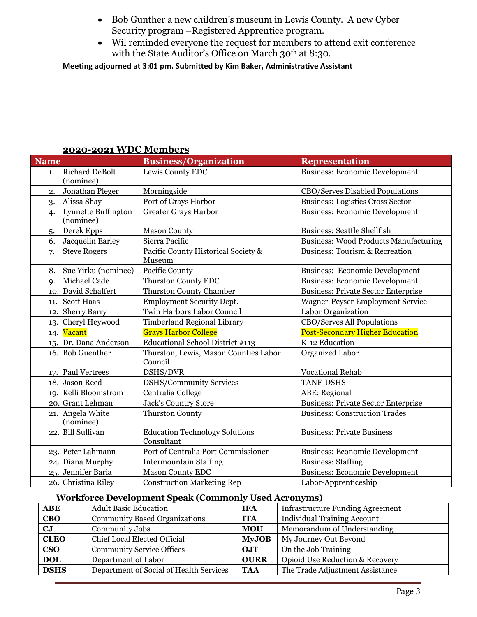- Bob Gunther a new children's museum in Lewis County. A new Cyber Security program –Registered Apprentice program.
- Wil reminded everyone the request for members to attend exit conference with the State Auditor's Office on March 30<sup>th</sup> at 8:30.

**Meeting adjourned at 3:01 pm. Submitted by Kim Baker, Administrative Assistant**

| <b>Name</b>                              | <b>Business/Organization</b>                        | <b>Representation</b>                        |
|------------------------------------------|-----------------------------------------------------|----------------------------------------------|
| <b>Richard DeBolt</b><br>1.<br>(nominee) | Lewis County EDC                                    | <b>Business: Economic Development</b>        |
| Jonathan Pleger<br>2.                    | Morningside                                         | CBO/Serves Disabled Populations              |
| Alissa Shay<br>3.                        | Port of Grays Harbor                                | <b>Business: Logistics Cross Sector</b>      |
| Lynnette Buffington<br>4.<br>(nominee)   | <b>Greater Grays Harbor</b>                         | <b>Business: Economic Development</b>        |
| Derek Epps<br>5.                         | <b>Mason County</b>                                 | <b>Business: Seattle Shellfish</b>           |
| Jacquelin Earley<br>6.                   | Sierra Pacific                                      | <b>Business: Wood Products Manufacturing</b> |
| <b>Steve Rogers</b><br>7.                | Pacific County Historical Society &<br>Museum       | <b>Business: Tourism &amp; Recreation</b>    |
| Sue Yirku (nominee)<br>8.                | Pacific County                                      | <b>Business: Economic Development</b>        |
| Michael Cade<br>$Q_{\star}$              | <b>Thurston County EDC</b>                          | <b>Business: Economic Development</b>        |
| 10. David Schaffert                      | <b>Thurston County Chamber</b>                      | <b>Business: Private Sector Enterprise</b>   |
| 11. Scott Haas                           | <b>Employment Security Dept.</b>                    | Wagner-Peyser Employment Service             |
| 12. Sherry Barry                         | Twin Harbors Labor Council                          | Labor Organization                           |
| 13. Cheryl Heywood                       | <b>Timberland Regional Library</b>                  | <b>CBO/Serves All Populations</b>            |
| 14. Vacant                               | <b>Grays Harbor College</b>                         | <b>Post-Secondary Higher Education</b>       |
| 15. Dr. Dana Anderson                    | Educational School District #113                    | K-12 Education                               |
| 16. Bob Guenther                         | Thurston, Lewis, Mason Counties Labor<br>Council    | Organized Labor                              |
| 17. Paul Vertrees                        | DSHS/DVR                                            | <b>Vocational Rehab</b>                      |
| 18. Jason Reed                           | <b>DSHS/Community Services</b>                      | <b>TANF-DSHS</b>                             |
| 19. Kelli Bloomstrom                     | Centralia College                                   | ABE: Regional                                |
| 20. Grant Lehman                         | Jack's Country Store                                | <b>Business: Private Sector Enterprise</b>   |
| 21. Angela White<br>(nominee)            | <b>Thurston County</b>                              | <b>Business: Construction Trades</b>         |
| 22. Bill Sullivan                        | <b>Education Technology Solutions</b><br>Consultant | <b>Business: Private Business</b>            |
| 23. Peter Lahmann                        | Port of Centralia Port Commissioner                 | <b>Business: Economic Development</b>        |
| 24. Diana Murphy                         | <b>Intermountain Staffing</b>                       | <b>Business: Staffing</b>                    |
| 25. Jennifer Baria                       | <b>Mason County EDC</b>                             | <b>Business: Economic Development</b>        |
| 26. Christina Riley                      | <b>Construction Marketing Rep</b>                   | Labor-Apprenticeship                         |

### **2020-2021 WDC Members**

#### **Workforce Development Speak (Commonly Used Acronyms)**

| <b>ABE</b>                        | <b>Adult Basic Education</b>            | <b>IFA</b>   | <b>Infrastructure Funding Agreement</b> |
|-----------------------------------|-----------------------------------------|--------------|-----------------------------------------|
| <b>CBO</b>                        | <b>Community Based Organizations</b>    | <b>ITA</b>   | <b>Individual Training Account</b>      |
| $\mathbf{C}$ J                    | Community Jobs                          |              | Memorandum of Understanding             |
| <b>CLEO</b>                       | Chief Local Elected Official            | <b>MyJOB</b> | My Journey Out Beyond                   |
| <b>CSO</b>                        | <b>Community Service Offices</b>        | OJT          | On the Job Training                     |
| Department of Labor<br><b>DOL</b> |                                         | <b>OURR</b>  | Opioid Use Reduction & Recovery         |
| <b>DSHS</b>                       | Department of Social of Health Services | <b>TAA</b>   | The Trade Adjustment Assistance         |